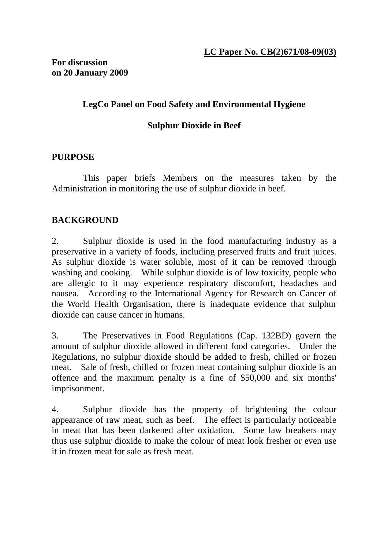**For discussion on 20 January 2009** 

## **LegCo Panel on Food Safety and Environmental Hygiene**

# **Sulphur Dioxide in Beef**

#### **PURPOSE**

 This paper briefs Members on the measures taken by the Administration in monitoring the use of sulphur dioxide in beef.

### **BACKGROUND**

2. Sulphur dioxide is used in the food manufacturing industry as a preservative in a variety of foods, including preserved fruits and fruit juices. As sulphur dioxide is water soluble, most of it can be removed through washing and cooking. While sulphur dioxide is of low toxicity, people who are allergic to it may experience respiratory discomfort, headaches and nausea. According to the International Agency for Research on Cancer of the World Health Organisation, there is inadequate evidence that sulphur dioxide can cause cancer in humans.

3. The Preservatives in Food Regulations (Cap. 132BD) govern the amount of sulphur dioxide allowed in different food categories. Under the Regulations, no sulphur dioxide should be added to fresh, chilled or frozen meat. Sale of fresh, chilled or frozen meat containing sulphur dioxide is an offence and the maximum penalty is a fine of \$50,000 and six months' imprisonment.

4. Sulphur dioxide has the property of brightening the colour appearance of raw meat, such as beef. The effect is particularly noticeable in meat that has been darkened after oxidation. Some law breakers may thus use sulphur dioxide to make the colour of meat look fresher or even use it in frozen meat for sale as fresh meat.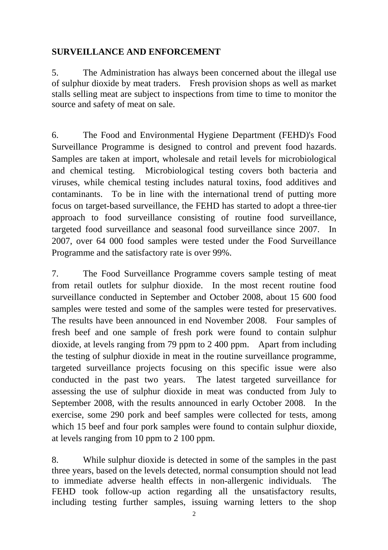#### **SURVEILLANCE AND ENFORCEMENT**

5. The Administration has always been concerned about the illegal use of sulphur dioxide by meat traders. Fresh provision shops as well as market stalls selling meat are subject to inspections from time to time to monitor the source and safety of meat on sale.

6. The Food and Environmental Hygiene Department (FEHD)'s Food Surveillance Programme is designed to control and prevent food hazards. Samples are taken at import, wholesale and retail levels for microbiological and chemical testing. Microbiological testing covers both bacteria and viruses, while chemical testing includes natural toxins, food additives and contaminants. To be in line with the international trend of putting more focus on target-based surveillance, the FEHD has started to adopt a three-tier approach to food surveillance consisting of routine food surveillance, targeted food surveillance and seasonal food surveillance since 2007. In 2007, over 64 000 food samples were tested under the Food Surveillance Programme and the satisfactory rate is over 99%.

7. The Food Surveillance Programme covers sample testing of meat from retail outlets for sulphur dioxide. In the most recent routine food surveillance conducted in September and October 2008, about 15 600 food samples were tested and some of the samples were tested for preservatives. The results have been announced in end November 2008. Four samples of fresh beef and one sample of fresh pork were found to contain sulphur dioxide, at levels ranging from 79 ppm to 2 400 ppm. Apart from including the testing of sulphur dioxide in meat in the routine surveillance programme, targeted surveillance projects focusing on this specific issue were also conducted in the past two years. The latest targeted surveillance for assessing the use of sulphur dioxide in meat was conducted from July to September 2008, with the results announced in early October 2008. In the exercise, some 290 pork and beef samples were collected for tests, among which 15 beef and four pork samples were found to contain sulphur dioxide, at levels ranging from 10 ppm to 2 100 ppm.

8. While sulphur dioxide is detected in some of the samples in the past three years, based on the levels detected, normal consumption should not lead to immediate adverse health effects in non-allergenic individuals. The FEHD took follow-up action regarding all the unsatisfactory results, including testing further samples, issuing warning letters to the shop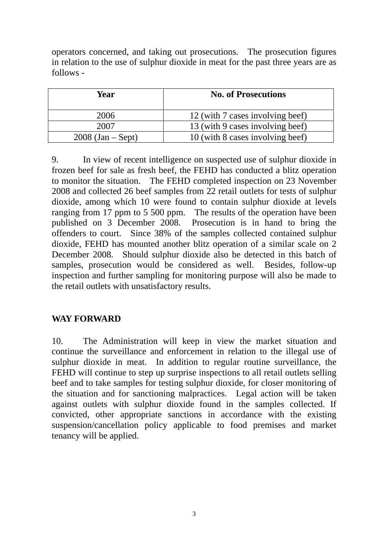operators concerned, and taking out prosecutions. The prosecution figures in relation to the use of sulphur dioxide in meat for the past three years are as follows -

| Year                | <b>No. of Prosecutions</b>       |
|---------------------|----------------------------------|
| 2006                | 12 (with 7 cases involving beef) |
| 2007                | 13 (with 9 cases involving beef) |
| $2008$ (Jan – Sept) | 10 (with 8 cases involving beef) |

9. In view of recent intelligence on suspected use of sulphur dioxide in frozen beef for sale as fresh beef, the FEHD has conducted a blitz operation to monitor the situation. The FEHD completed inspection on 23 November 2008 and collected 26 beef samples from 22 retail outlets for tests of sulphur dioxide, among which 10 were found to contain sulphur dioxide at levels ranging from 17 ppm to 5 500 ppm. The results of the operation have been published on 3 December 2008. Prosecution is in hand to bring the offenders to court. Since 38% of the samples collected contained sulphur dioxide, FEHD has mounted another blitz operation of a similar scale on 2 December 2008. Should sulphur dioxide also be detected in this batch of samples, prosecution would be considered as well. Besides, follow-up inspection and further sampling for monitoring purpose will also be made to the retail outlets with unsatisfactory results.

### **WAY FORWARD**

10. The Administration will keep in view the market situation and continue the surveillance and enforcement in relation to the illegal use of sulphur dioxide in meat. In addition to regular routine surveillance, the FEHD will continue to step up surprise inspections to all retail outlets selling beef and to take samples for testing sulphur dioxide, for closer monitoring of the situation and for sanctioning malpractices. Legal action will be taken against outlets with sulphur dioxide found in the samples collected. If convicted, other appropriate sanctions in accordance with the existing suspension/cancellation policy applicable to food premises and market tenancy will be applied.